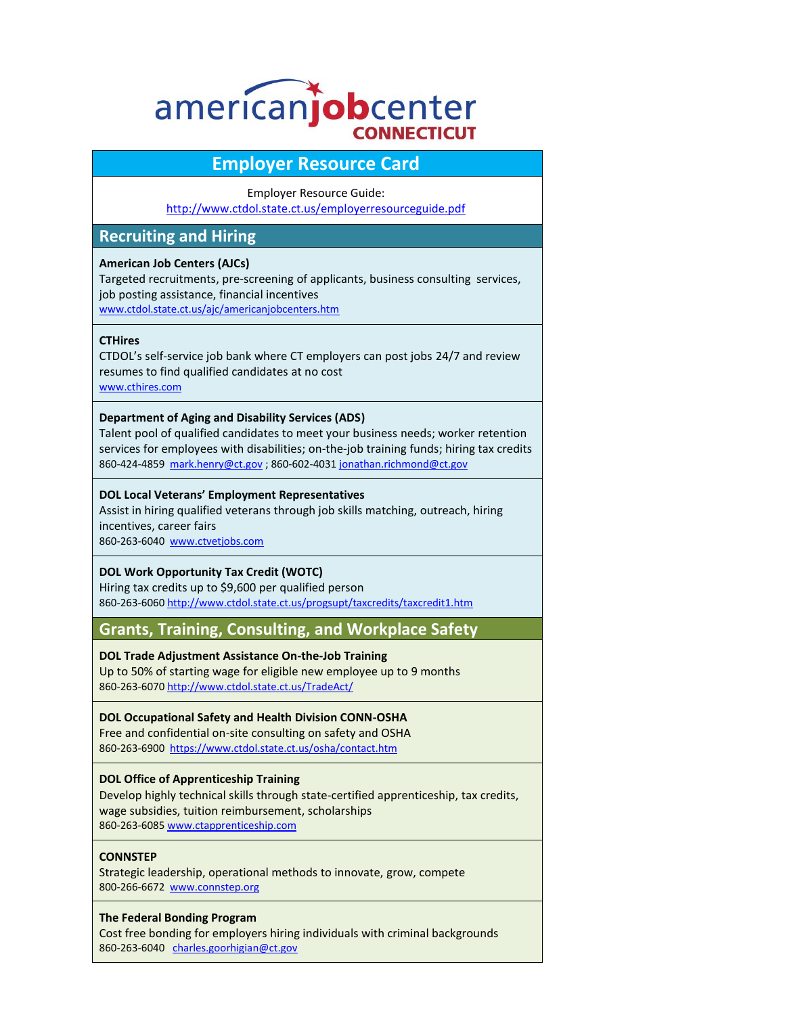# americanjobcenter **CONNECTICUT**

# **Employer Resource Card**

#### Employer Resource Guide:

<http://www.ctdol.state.ct.us/employerresourceguide.pdf>

# **Recruiting and Hiring**

#### **American Job Centers (AJCs)**

Targeted recruitments, pre-screening of applicants, business consulting services, job posting assistance, financial incentives

[www.ctdol.state.ct.us/ajc/americanjobcenters.htm](http://www.ctdol.state.ct.us/ajc/americanjobcenters.htm)

#### **CTHires**

CTDOL's self-service job bank where CT employers can post jobs 24/7 and review resumes to find qualified candidates at no cost [www.cthires.com](http://www.cthires.com/)

#### **Department of Aging and Disability Services (ADS)**

Talent pool of qualified candidates to meet your business needs; worker retention services for employees with disabilities; on-the-job training funds; hiring tax credits 860-424-4859 [mark.henry@ct.gov](mailto:mark.henry@ct.gov); 860-602-403[1 jonathan.richmond@ct.gov](mailto:jonathan.richmond@ct.gov)

#### **DOL Local Veterans' Employment Representatives**

Assist in hiring qualified veterans through job skills matching, outreach, hiring incentives, career fairs 860-263-6040 [www.ctvetjobs.com](http://www.ctvetjobs.com/)

# **DOL Work Opportunity Tax Credit (WOTC)**

Hiring tax credits up to \$9,600 per qualified person 860-263-6060 <http://www.ctdol.state.ct.us/progsupt/taxcredits/taxcredit1.htm>

**Grants, Training, Consulting, and Workplace Safety**

**DOL Trade Adjustment Assistance On-the-Job Training** 

Up to 50% of starting wage for eligible new employee up to 9 months 860-263-607[0 http://www.ctdol.state.ct.us/TradeAct/](http://www.ctdol.state.ct.us/TradeAct/)

# **DOL Occupational Safety and Health Division CONN-OSHA**

Free and confidential on-site consulting on safety and OSHA 860-263-6900<https://www.ctdol.state.ct.us/osha/contact.htm>

# **DOL Office of Apprenticeship Training**

Develop highly technical skills through state-certified apprenticeship, tax credits, wage subsidies, tuition reimbursement, scholarships 860-263-608[5 www.ctapprenticeship.com](http://www.ctapprenticeship.com/)

# **CONNSTEP**

Strategic leadership, operational methods to innovate, grow, compete 800-266-6672 [www.connstep.org](http://www.connstep.org/)

#### **The Federal Bonding Program**

Cost free bonding for employers hiring individuals with criminal backgrounds 860-263-6040 [charles.goorhigian@ct.gov](mailto:charles.goorhigian@ct.gov)